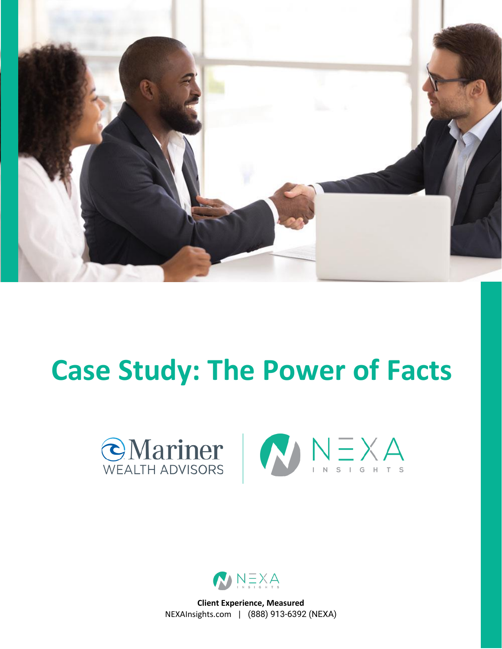

# **Case Study: The Power of Facts**





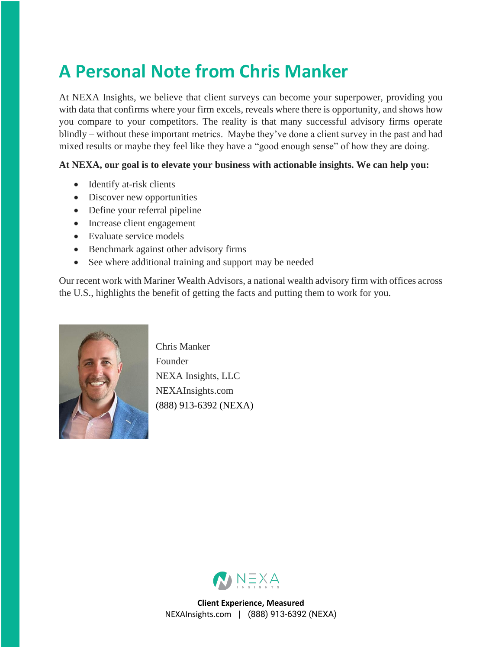#### **A Personal Note from Chris Manker**

At NEXA Insights, we believe that client surveys can become your superpower, providing you with data that confirms where your firm excels, reveals where there is opportunity, and shows how you compare to your competitors. The reality is that many successful advisory firms operate blindly – without these important metrics. Maybe they've done a client survey in the past and had mixed results or maybe they feel like they have a "good enough sense" of how they are doing.

#### **At NEXA, our goal is to elevate your business with actionable insights. We can help you:**

- Identify at-risk clients
- Discover new opportunities
- Define your referral pipeline
- Increase client engagement
- Evaluate service models
- Benchmark against other advisory firms
- See where additional training and support may be needed

Our recent work with Mariner Wealth Advisors, a national wealth advisory firm with offices across the U.S., highlights the benefit of getting the facts and putting them to work for you.



Chris Manker Founder NEXA Insights, LLC NEXAInsights.com (888) 913-6392 (NEXA)

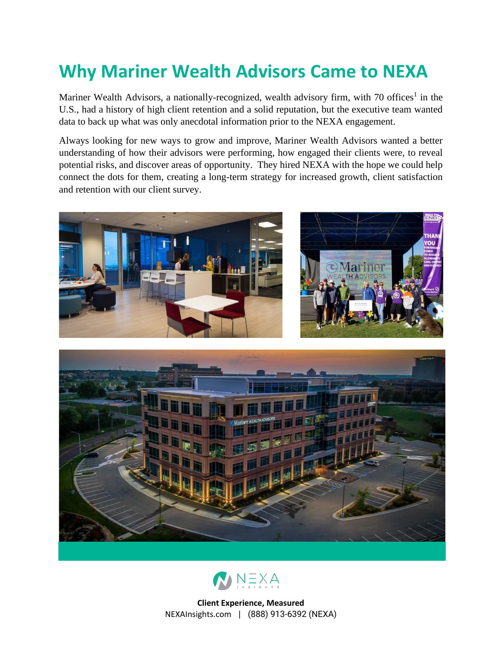### **Why Mariner Wealth Advisors Came to NEXA**

Mariner Wealth Advisors, a nationally-recognized, wealth advisory firm, with 70 offices<sup>1</sup> in the U.S., had a history of high client retention and a solid reputation, but the executive team wanted data to back up what was only anecdotal information prior to the NEXA engagement.

Always looking for new ways to grow and improve, Mariner Wealth Advisors wanted a better understanding of how their advisors were performing, how engaged their clients were, to reveal potential risks, and discover areas of opportunity. They hired NEXA with the hope we could help connect the dots for them, creating a long-term strategy for increased growth, client satisfaction and retention with our client survey.





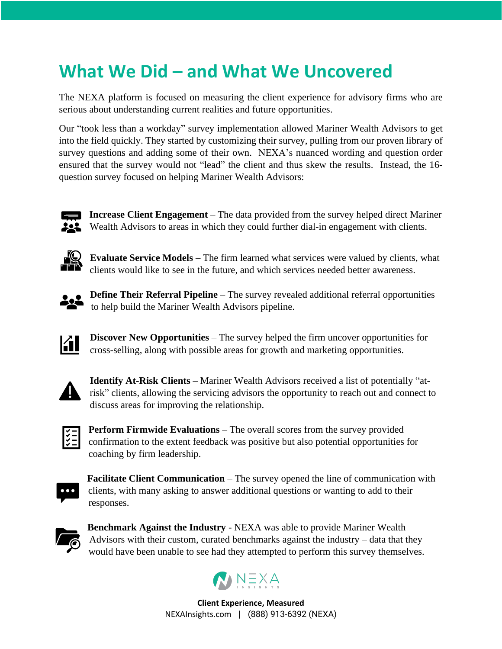#### **What We Did – and What We Uncovered**

The NEXA platform is focused on measuring the client experience for advisory firms who are serious about understanding current realities and future opportunities.

Our "took less than a workday" survey implementation allowed Mariner Wealth Advisors to get into the field quickly. They started by customizing their survey, pulling from our proven library of survey questions and adding some of their own. NEXA's nuanced wording and question order ensured that the survey would not "lead" the client and thus skew the results. Instead, the 16 question survey focused on helping Mariner Wealth Advisors:



**Increase Client Engagement** – The data provided from the survey helped direct Mariner Wealth Advisors to areas in which they could further dial-in engagement with clients.



**Evaluate Service Models** – The firm learned what services were valued by clients, what clients would like to see in the future, and which services needed better awareness.



**Define Their Referral Pipeline** – The survey revealed additional referral opportunities to help build the Mariner Wealth Advisors pipeline.



**Discover New Opportunities** – The survey helped the firm uncover opportunities for cross-selling, along with possible areas for growth and marketing opportunities.



**Identify At-Risk Clients** – Mariner Wealth Advisors received a list of potentially "atrisk" clients, allowing the servicing advisors the opportunity to reach out and connect to discuss areas for improving the relationship.



**Perform Firmwide Evaluations** – The overall scores from the survey provided confirmation to the extent feedback was positive but also potential opportunities for coaching by firm leadership.



**Facilitate Client Communication** – The survey opened the line of communication with clients, with many asking to answer additional questions or wanting to add to their responses.



**Benchmark Against the Industry** - NEXA was able to provide Mariner Wealth Advisors with their custom, curated benchmarks against the industry – data that they would have been unable to see had they attempted to perform this survey themselves.

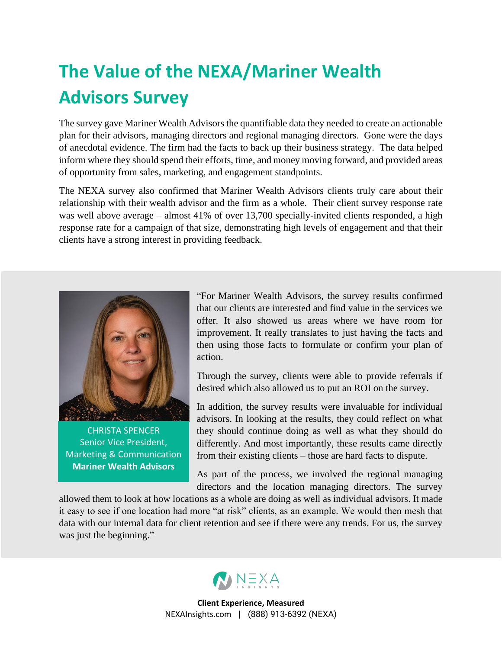## **The Value of the NEXA/Mariner Wealth Advisors Survey**

The survey gave Mariner Wealth Advisors the quantifiable data they needed to create an actionable plan for their advisors, managing directors and regional managing directors. Gone were the days of anecdotal evidence. The firm had the facts to back up their business strategy. The data helped inform where they should spend their efforts, time, and money moving forward, and provided areas of opportunity from sales, marketing, and engagement standpoints.

The NEXA survey also confirmed that Mariner Wealth Advisors clients truly care about their relationship with their wealth advisor and the firm as a whole. Their client survey response rate was well above average – almost 41% of over 13,700 specially-invited clients responded, a high response rate for a campaign of that size, demonstrating high levels of engagement and that their clients have a strong interest in providing feedback.



CHRISTA SPENCER Senior Vice President, Marketing & Communication **Mariner Wealth Advisors**

"For Mariner Wealth Advisors, the survey results confirmed that our clients are interested and find value in the services we offer. It also showed us areas where we have room for improvement. It really translates to just having the facts and then using those facts to formulate or confirm your plan of action.

Through the survey, clients were able to provide referrals if desired which also allowed us to put an ROI on the survey.

In addition, the survey results were invaluable for individual advisors. In looking at the results, they could reflect on what they should continue doing as well as what they should do differently. And most importantly, these results came directly from their existing clients – those are hard facts to dispute.

As part of the process, we involved the regional managing directors and the location managing directors. The survey

allowed them to look at how locations as a whole are doing as well as individual advisors. It made it easy to see if one location had more "at risk" clients, as an example. We would then mesh that data with our internal data for client retention and see if there were any trends. For us, the survey was just the beginning."